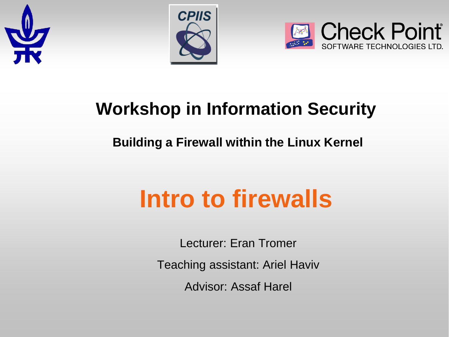





### **Workshop in Information Security**

#### **Building a Firewall within the Linux Kernel**

# **Intro to firewalls**

Lecturer: Eran Tromer

Teaching assistant: Ariel Haviv

Advisor: Assaf Harel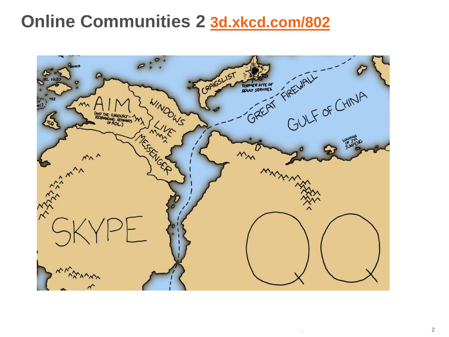#### **Online Communities 2 <3d.xkcd.com/802>**

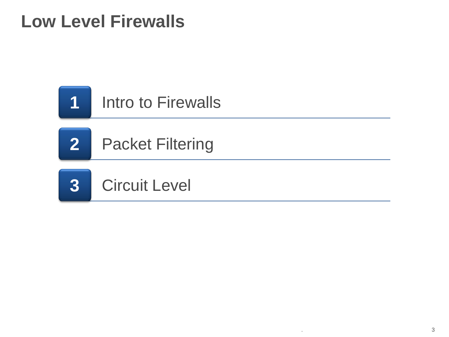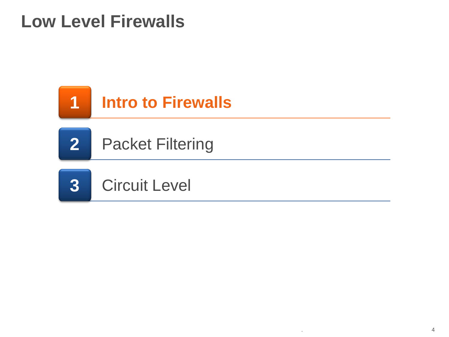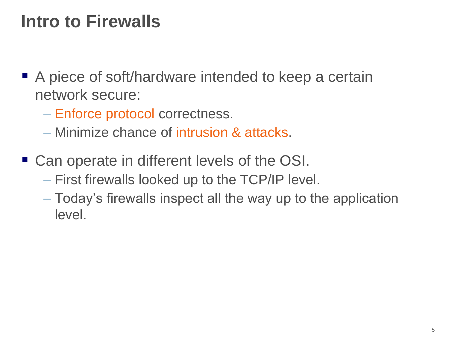- A piece of soft/hardware intended to keep a certain network secure:
	- Enforce protocol correctness.
	- Minimize chance of intrusion & attacks.
- Can operate in different levels of the OSI.
	- First firewalls looked up to the TCP/IP level.
	- Today's firewalls inspect all the way up to the application level.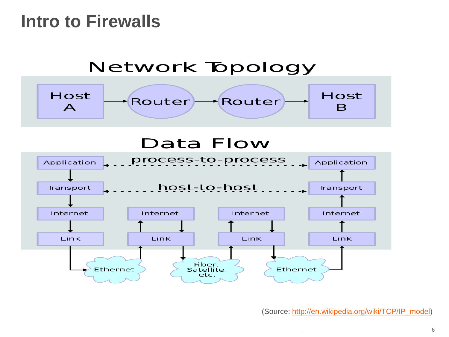

(Source: [http://en.wikipedia.org/wiki/TCP/IP\\_model\)](http://en.wikipedia.org/wiki/TCP/IP_model)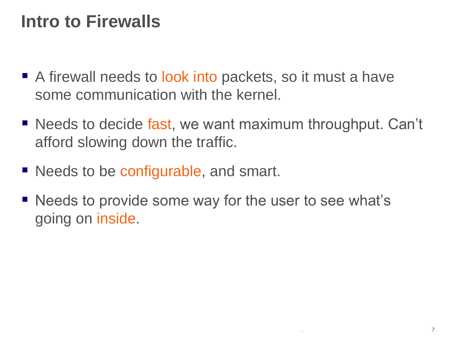- A firewall needs to look into packets, so it must a have some communication with the kernel.
- Needs to decide fast, we want maximum throughput. Can't afford slowing down the traffic.
- Needs to be configurable, and smart.
- Needs to provide some way for the user to see what's going on inside.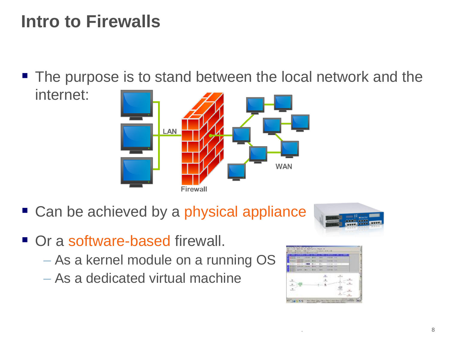■ The purpose is to stand between the local network and the internet:



■ Can be achieved by a physical appliance



- Or a software-based firewall.
	- As a kernel module on a running OS
	- As a dedicated virtual machine

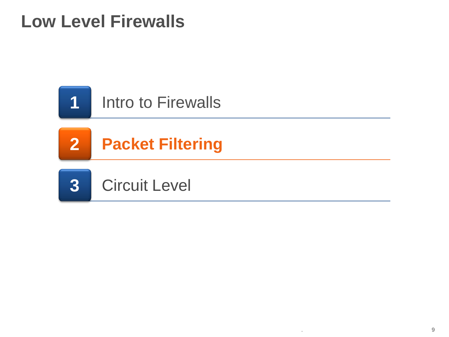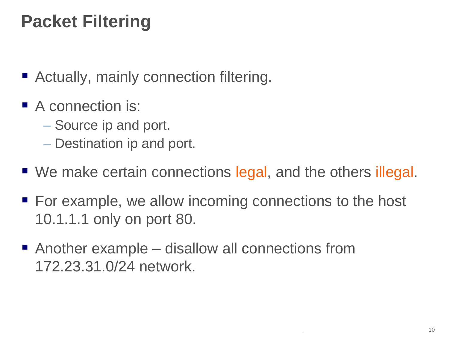# **Packet Filtering**

- Actually, mainly connection filtering.
- A connection is:
	- Source ip and port.
	- Destination ip and port.
- We make certain connections legal, and the others illegal.
- For example, we allow incoming connections to the host 10.1.1.1 only on port 80.
- Another example disallow all connections from 172.23.31.0/24 network.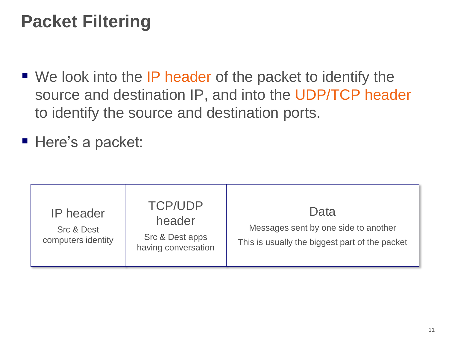# **Packet Filtering**

- We look into the IP header of the packet to identify the source and destination IP, and into the UDP/TCP header to identify the source and destination ports.
- Here's a packet:

| <b>IP</b> header<br><b>Src &amp; Dest</b><br>computers identity | <b>TCP/UDP</b><br>header<br>Src & Dest apps<br>having conversation | Data<br>Messages sent by one side to another<br>This is usually the biggest part of the packet |
|-----------------------------------------------------------------|--------------------------------------------------------------------|------------------------------------------------------------------------------------------------|
|-----------------------------------------------------------------|--------------------------------------------------------------------|------------------------------------------------------------------------------------------------|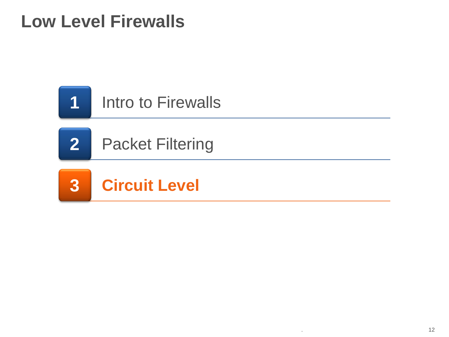

**2** Packet Filtering

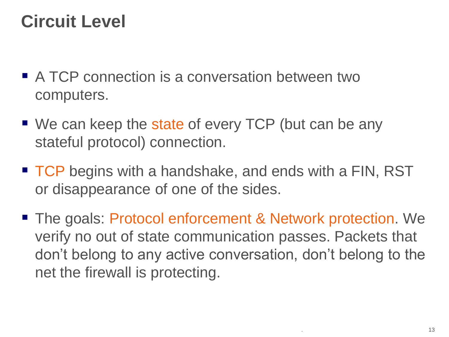# **Circuit Level**

- A TCP connection is a conversation between two computers.
- We can keep the state of every TCP (but can be any stateful protocol) connection.
- TCP begins with a handshake, and ends with a FIN, RST or disappearance of one of the sides.
- The goals: Protocol enforcement & Network protection. We verify no out of state communication passes. Packets that don't belong to any active conversation, don't belong to the net the firewall is protecting.